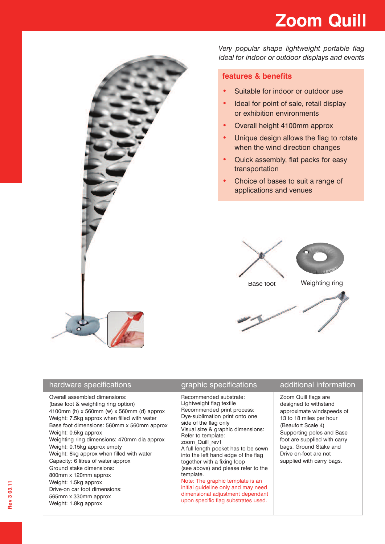# **Zoom Quill**



hardware specifications

Drive-on car foot dimensions: 565mm x 330mm approx Weight: 1.8kg approx

*Very popular shape lightweight portable flag ideal for indoor or outdoor displays and events*

### **features & benefits**

- **•** Suitable for indoor or outdoor use
- **•** Ideal for point of sale, retail display or exhibition environments
- **•** Overall height 4100mm approx
- **•** Unique design allows the flag to rotate when the wind direction changes
- **•** Quick assembly, flat packs for easy transportation
- **•** Choice of bases to suit a range of applications and venues



| Overall assembled dimensions:<br>(base foot & weighting ring option)<br>4100mm (h) x 560mm (w) x 560mm (d) approx<br>Weight: 7.5kg approx when filled with water<br>Base foot dimensions: 560mm x 560mm approx<br>Weight: 0.5kg approx<br>Weighting ring dimensions: 470mm dia approx<br>Weight: 0.15kg approx empty<br>Weight: 6kg approx when filled with water<br>Capacity: 6 litres of water approx<br>Ground stake dimensions:<br>800mm x 120mm approx<br>Weight: 1.5kg approx | Recommended substrate:<br>Lightweight flag textile<br>Recommended print process:<br>Dye-sublimation print onto one<br>side of the flag only<br>Visual size & graphic dimensions:<br>Refer to template:<br>zoom Quill rev1<br>A full length pocket has to be sewn<br>into the left hand edge of the flag<br>together with a fixing loop<br>(see above) and please refer to the<br>template.<br>Note: The graphic template is an | Zoom Quill flags are<br>designed to withstand<br>approximate windspeeds of<br>13 to 18 miles per hour<br>(Beaufort Scale 4)<br>Supporting poles and Base<br>foot are supplied with carry<br>bags. Ground Stake and<br>Drive on-foot are not<br>supplied with carry bags. |
|-------------------------------------------------------------------------------------------------------------------------------------------------------------------------------------------------------------------------------------------------------------------------------------------------------------------------------------------------------------------------------------------------------------------------------------------------------------------------------------|--------------------------------------------------------------------------------------------------------------------------------------------------------------------------------------------------------------------------------------------------------------------------------------------------------------------------------------------------------------------------------------------------------------------------------|--------------------------------------------------------------------------------------------------------------------------------------------------------------------------------------------------------------------------------------------------------------------------|

initial guideline only and may need dimensional adjustment dependant upon specific flag substrates used.

## graphic specifications additional information